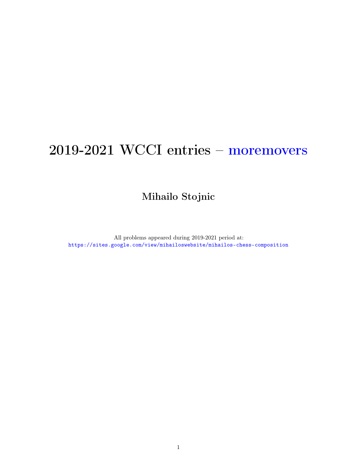# 2019-2021 WCCI entries – moremovers

Mihailo Stojnic

All problems appeared during 2019-2021 period at: <https://sites.google.com/view/mihailoswebsite/mihailos-chess-composition>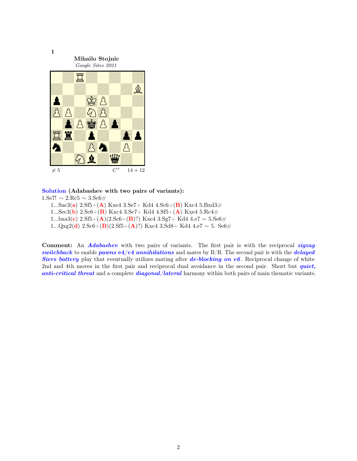

## Solution (Adabashev with two pairs of variants):

1.Se7!  $\sim 2$ .Rc5  $\sim 3$ .Sc6#

- 1...Sac3(a) 2.Sf5+(A) Kxe4 3.Se7+ Kd4 4.Sc6+(B) Kxc4 5.Bxd3#
- 1...Sec3(**b**) 2.Sc6+(**B**) Kxc4 3.Se7+ Kd4 4.Sf5+(**A**) Kxe4 5.Rc4#
- 1...bxa3(c) 2.Sf5+(A)(2.Sc6+(B)?) Kxe4 3.Sg7+ Kd4 4.e7  $\sim$  5.Se6#
- 1...Qxg2(d) 2.Sc6+(B)(2.Sf5+(A)?) Kxc4 3.Sd8+ Kd4 4.e7  $\sim$  5. Se6#

Comment: An *Adabashev* with two pairs of variants. The first pair is with the reciprocal *zigzag* switchback to enable pawns  $e4/c4$  annihilations and mates by  $B/R$ . The second pair is with the *delayed* Siers battery play that eventually utilizes mating after de-blocking on  $e6$ . Reciprocal change of white 2nd and 4th moves in the first pair and reciprocal dual avoidance in the second pair. Short but *quiet*, anti-critical threat and a complete diagonal/lateral harmony within both pairs of main thematic variants.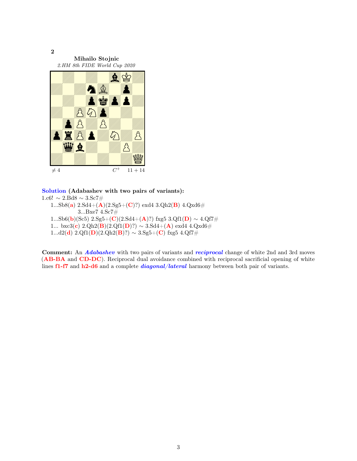

## Solution (Adabashev with two pairs of variants):

1.c6!  $\sim$  2.Bd8  $\sim$  3.Sc7# 1...Sb8(a)  $2.Sd4+(\mathbf{A})(2.Sg5+(\mathbf{C})?)$  exd4  $3.Qh2(\mathbf{B})$   $4.Qxd6\#$ 3...Bxe7 4.Sc7# 1...Sb6(b)(Sc5) 2.Sg5+(C)(2.Sd4+(A)?) fxg5 3.Qf1(D) ~ 4.Qf7# 1... bxc3(c) 2.Qh2(B)(2.Qf1(D)?) ∼ 3.Sd4+(A) exd4 4.Qxd6# 1...d2(d) 2.Qf1(D)(2.Qh2(B)?) ∼ 3.Sg5+(C) fxg5 4.Qf7#

Comment: An *Adabashev* with two pairs of variants and *reciprocal* change of white 2nd and 3rd moves (AB-BA and CD-DC). Reciprocal dual avoidance combined with reciprocal sacrificial opening of white lines f1-f7 and h2-d6 and a complete *diagonal*/*lateral* harmony between both pair of variants.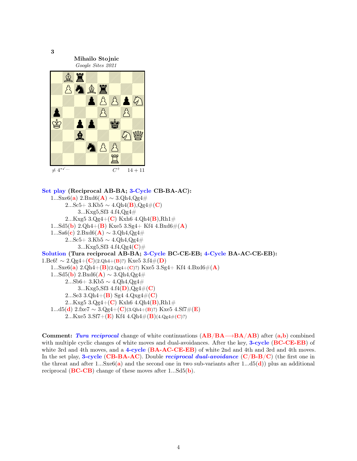

```
Set play (Reciprocal AB-BA; 3-Cycle CB-BA-AC):
   1...Sxe6(a) 2.Bxd6(A) \sim 3.Qh4,Qg4#
        2...Sc5+ 3.Kb5 \sim 4.Qh4(B),Qg4#(C)
            3...Kxg5,Sf3 4.f4,Qg4#
        2...Kxg5 3.Qg4+(C) Kxh6 4.Qh4(B),Rh1#1...Sd5(b) 2.Qh4+(B) Kxe5 3.Sg4+ Kf4 4.Bxd6#(A)
   1...Sa6(c) 2.Bxd6(A) \sim 3.Qh4,Qg4#
        2...Sc5+ 3.Kb5 \sim 4.Qh4,Qg4#
            3...Kxg5,Sf3 4.f4,Qg4(C)#
Solution (Tura reciprocal AB-BA; 3-Cycle BC-CE-EB; 4-Cycle BA-AC-CE-EB):
1.Bc6! \sim 2.Qg4+(C)(2.Qh4+(B)?) Kxe5 3.f4\#(D)1...Sxe6(a) 2.Qh4+(B)(2.Qg4+(C)?) Kxe5 3.Sg4+ Kf4 4.Bxd6#(A)1...Sd5(b) 2.Bxd6(A) \sim 3.Qh4,Qg4#
        2...Sb6+ 3.Kb5 \sim 4.Qh4,Qg4#
            3...Kxg5,Sf3 4.14(D),Qg4#(C)2...Se3 3.Qh4+(B) Sg4 4.Qxg4#(C)2...Kxg5 3.Qg4+(C) Kxh6 4.Qh4(B),Rh1#
   1...d5(d) 2.fxe7 ~ 3.Qg4+(C)(3.Qh4+(B)?) Kxe5 4.Sf7#(E)
        2...Kxe5 3.Sf7+(E) Kf4 4.Qh4\#(B)(4.Qg4\#(C)?)
```
Comment: Tura reciprocal change of white continuations  $(AB/BA\rightarrow BA/AB)$  after  $(a,b)$  combined with multiple cyclic changes of white moves and dual-avoidances. After the key, 3-cycle (BC-CE-EB) of white 3rd and 4th moves, and a 4-cycle (BA-AC-CE-EB) of white 2nd and 4th and 3rd and 4th moves. In the set play, 3-cycle (CB-BA-AC). Double *reciprocal dual-avoidance* ( $C/B-B/C$ ) (the first one in the threat and after 1...Sxe $6(a)$  and the second one in two sub-variants after 1...d5(d)) plus an additional reciprocal  $(BC-CB)$  change of these moves after 1... $Sd5(b)$ .

3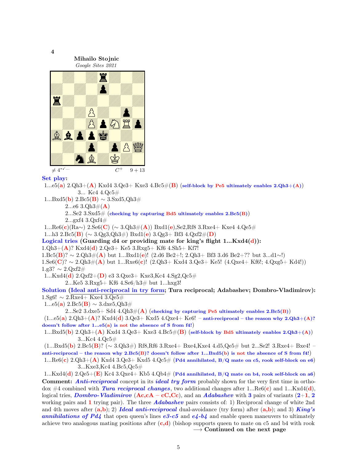

Set play:

1...e5(a)  $2.Qh3+(A)$  Kxd4  $3.Qe3+$  Kxe3  $4.Bc5#(B)$  (self-block by Pe5 ultimately enables  $2.Qh3+(A)$ ) 3... Kc4 4.Qc5#

 $1...Bxd5(b)$  2.Bc5(**B**) ∼ 3.Sxd5,Qh3#

2...e6  $3.Qh3\#(A)$ 

2...Se2 3.Sxd5# (checking by capturing Bd5 ultimately enables  $2.Bc5(B)$ )

2...gxf4 3.Qxf4#

1...Re6(c)(Ra∼) 2.Se6(C) (∼ 3.Qh3#(A)) Bxd1(e),Se2,Rf8 3.Rxe4+ Kxe4 4.Qe5#

1...h3 2.Bc5(B) (∼ 3.Qg3,Qh3#) Bxd1(e) 3.Qg3+ Bf3 4.Qxf2#(D)

Logical tries (Guarding  $d4$  or providing mate for king's flight  $1...Kxd4(d)$ ):

 $1.Qh3+(A)$ ? Kxd4(d)  $2.Qe3+$  Ke5  $3.Rxg5+$  Kf6  $4.Sh5+$  Kf7!

 $1.\text{Be5}(\mathbf{B})? \sim 2.\text{Qh3#}(\mathbf{A})$  but  $1...\text{Bxd1}(e)!$  (2.d6 Be2+!; 2.Qh3+ Bf3 3.d6 Be2+?? but 3...d1∼!) 1.Se6(C)? ∼ 2.Qh3#(A) but 1...Rxe6(c)! (2.Qh3+ Kxd4 3.Qe3+ Ke5! (4.Qxe4+ Kf6!; 4.Qxg5+ Kd4!))

1.g3? ∼ 2.Qxf2#

1...Kxd4(d)  $2.Qxf2+(D)$  e3  $3.Qxe3+Kxe3,Kc4 4.Sg2,Qc5#$ 

2...Ke5 3.Rxg5+ Kf6 4.Se6/h3# but 1...hxg3!

Solution (Ideal anti-reciprocal in try form; Tura reciprocal; Adabashev; Dombro-Vladimirov): 1.Sg6!  $\sim 2.\overline{\text{Rxe4+ Kxe4 3. Qe5#}}$ 

1...e5(a) 2.Bc5(B)  $\sim$  3.dxe5,Qh3#

2...Se2 3.dxe5+ Sd4 4.Qh3 $\#(A)$  (checking by capturing Pe5 ultimately enables 2.Bc5(B))  $(1...e5(a) 2.Qh3+(A)?$  Kxd4(d)  $3.Qe3+$  Kxd5  $4.Qxe4+$  Ke6! – anti-reciprocal – the reason why  $2.Qh3+(A)?$ doesn't follow after 1...e5(a) is not the absence of S from f4!)

1...Bxd5(b)  $2.Qh3+(A)$  Kxd4  $3.Qe3+$  Kxe3  $4.Bc5\#(B)$  (self-block by Bd5 ultimately enables  $2.Qh3+(A)$ ) 3...Kc4 4.Qc5#

(1...Bxd5(b) 2.Bc5(B)? (∼ 3.Qh3#) Rf8,Rf6 3.Rxe4+ Bxe4,Kxe4 4.d5,Qe5# but 2...Se2! 3.Rxe4+ Bxe4! – anti-reciprocal – the reason why 2.Bc5(B)? doesn't follow after 1...Bxd5(b) is not the absence of S from f4!) 1...Re6(c) 2.Qh3+(A) Kxd4 3.Qe3+ Kxd5 4.Qc5# (Pd4 annihilated, B/Q mate on c5, rook self-block on e6)

3...Kxe3,Kc4 4.Bc5,Qc5#

1...Kxd4(d) 2.Qe5+(E) Kc4 3.Qxe4+ Kb5 4.Qb4# (Pd4 annihilated, B/Q mate on b4, rook self-block on a6) Comment: Anti-reciprocal concept in its ideal try form probably shown for the very first time in orthodox #4 combined with *Tura reciprocal changes*, two additional changes after 1...Re $6(c)$  and 1...Kxd4(d), logical tries, *Dombro-Vladimirov* ( $Ac, cA - cC, Cc$ ), and an *Adabashev* with 3 pairs of variants (2+1, 2) working pairs and 1 trying pair). The three **Adabashev** pairs consists of: 1) Reciprocal change of white 2nd and 4th moves after  $(a,b)$ ; 2) Ideal anti-reciprocal dual-avoidance (try form) after  $(a,b)$ ; and 3) King's annihilations of Pd4 that open queen's lines  $e3-c5$  and  $e4-b4$  and enable queen maneuvers to ultimately achieve two analogous mating positions after  $(c,d)$  (bishop supports queen to mate on c5 and b4 with rook  $\rightarrow$  Continued on the next page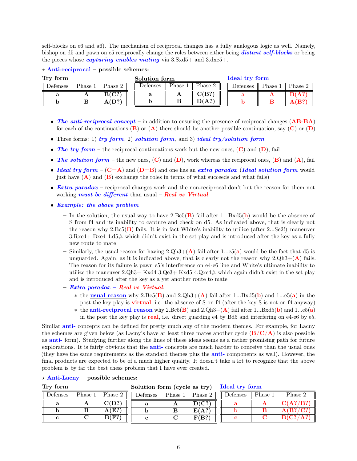self-blocks on e6 and a6). The mechanism of reciprocal changes has a fully analogous logic as well. Namely, bishop on d5 and pawn on e5 reciprocally change the roles between either being **distant self-blocks** or being the pieces whose *capturing enables mating* via  $3.5 \times 45+$  and  $3.4 \times 5+$ .

#### $\star$  Anti-reciprocal – possible schemes:

| Try form |                     |         | Solution form |                     |         |  | Ideal try form |        |        |  |
|----------|---------------------|---------|---------------|---------------------|---------|--|----------------|--------|--------|--|
| Defenses | $P_{\text{hase }1}$ | Phase 2 | Defenses      | $P_{\text{hase }1}$ | Phase 2 |  | Defenses       | Phase. | Phase: |  |
|          | A                   | B(C?)   |               | A                   | C(B?    |  |                |        | B(A?   |  |
| IJ       |                     | A(D)    | ັ             |                     | D(A?)   |  |                |        |        |  |

- The anti-reciprocal concept in addition to ensuring the presence of reciprocal changes (AB-BA) for each of the continuations  $(B)$  or  $(A)$  there should be another possible continuation, say  $(C)$  or  $(D)$
- Three forms: 1)  $try$  form, 2) solution form, and 3) ideal try/solution form
- The try form the reciprocal continuations work but the new ones,  $(C)$  and  $(D)$ , fail
- The solution form the new ones,  $(C)$  and  $(D)$ , work whereas the reciprocal ones,  $(B)$  and  $(A)$ , fail
- Ideal try form  $(C=A)$  and  $(D=B)$  and one has an extra paradox (Ideal solution form would just have  $(A)$  and  $(B)$  exchange the roles in terms of what succeeds and what fails)
- **Extra paradox** reciprocal changes work and the non-reciprocal don't but the reason for them not working *must be different* than usual – Real vs Virtual
- Example: the above problem
	- In the solution, the usual way to have  $2.Bc5(B)$  fail after 1...Bxd5(b) would be the absence of S from f4 and its inability to capture and check on d5. As indicated above, that is clearly not the reason why  $2.Bc5(B)$  fails. It is in fact White's inability to utilize (after 2...Se2!) maneuver  $3. Rxe4 + Bxe4 4. d5#$  which didn't exist in the set play and is introduced after the key as a fully new route to mate
	- Similarly, the usual reason for having  $2 \text{.} Qh3 + (\textbf{A})$  fail after 1...e5(a) would be the fact that d5 is unguarded. Again, as it is indicated above, that is clearly not the reason why  $2 \text{Qh}3 + (\mathbf{A})$  fails. The reason for its failure is pawn e5's interference on e4-e6 line and White's ultimate inability to utilize the maneuver  $2 \text{ Qh}3 + \text{Kxd4 } 3 \text{ Qe}3 + \text{Kxd5 } 4 \text{ Qxe}4 \#$  which again didn't exist in the set play and is introduced after the key as a yet another route to mate
	- Extra paradox Real vs Virtual:
		- $*$  the usual reason why 2.Bc5(B) and 2.Qh3+(A) fail after 1...Bxd5(b) and 1...e5(a) in the post the key play is virtual, i.e. the absence of S on f4 (after the key S is not on f4 anyway)
		- $*$  the **anti-reciprocal reason** why 2.Bc5(**B**) and 2.Qh3+(**A**) fail after 1...Bxd5(**b**) and 1...e5(**a**) in the post the key play is real, i.e. direct guarding e4 by Bd5 and interfering on e4-e6 by e5.

Similar anti- concepts can be defined for pretty much any of the modern themes. For example, for Lacny the schemes are given below (as Lacny's have at least three mates another cycle  $(B/C/A)$ ) is also possible as anti- form). Studying further along the lines of these ideas seems as a rather promising path for future explorations. It is fairly obvious that the **anti-** concepts are much harder to conceive than the usual ones (they have the same requirements as the standard themes plus the anti- components as well). However, the final products are expected to be of a much higher quality. It doesn't take a lot to recognize that the above problem is by far the best chess problem that I have ever created.

## $\star$  Anti-Lacny – possible schemes:

| Try form |         |                               |                      |         |                      | Solution form (cycle as try) Ideal try form |         |            |  |
|----------|---------|-------------------------------|----------------------|---------|----------------------|---------------------------------------------|---------|------------|--|
| Defenses | Phase 1 | Phase $2 \parallel \parallel$ | $\parallel$ Defenses | Phase 1 | $\mathsf{P}$ Phase 2 | $\parallel$ Defenses                        | Phase 1 | Phase 2    |  |
|          |         | C(D?)                         |                      |         | D(C?)                |                                             |         | C(A? / B?) |  |
|          |         | A(E?                          |                      |         | E(A?)                |                                             |         | A(B? / C?) |  |
|          |         | B(F?)                         |                      |         | F(B?)                |                                             |         | B(C? / A?) |  |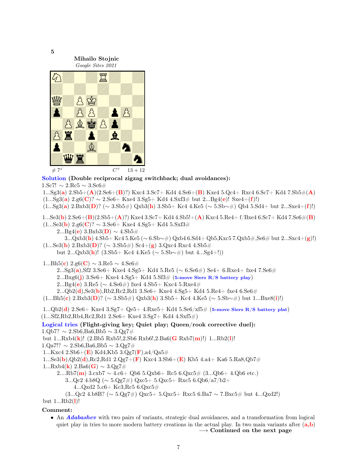

Solution (Double reciprocal zigzag switchback; dual avoidances):

1.Sc7!  $\sim 2$ .Rc5  $\sim 3$ .Sc6#

1...Sg3(a)  $2.\text{Sb5}+(\mathbf{A})(2.\text{Se6}+(\mathbf{B})?)$  Kxc4 3.Sc7+ Kd4 4.Se6+( $\mathbf{B}$ ) Kxe4 5.Qc4+ Rxc4 6.Sc7+ Kd4 7.Sb5 $\#(\mathbf{A})$  $(1...Sg3(a) 2.g6(C)? \sim 2.Se6+Kxe4 3.Sg5+Kd4 4.Sxf3# but 2...Bg4(e)! Sxe4+(f)!)$  $(1...Sg3(a) 2.Bxb3(D)$ ? (∼ 3.Sb5#) Qxb3(h) 3.Sb5+ Kc4 4.Ke5 (∼ 5.Sb∼#) Qb4 5.Sd4+ but 2...Sxe4+(f)!)

1...Se3(b)  $2.$ Se6+(B)( $2.$ Sb5+(A)?) Kxe4 3.Sc7+ Kd4 4.Sb5!+(A) Kxc4 5.Re4+ f/Bxe4 6.Sc7+ Kd4 7.Se6#(B)  $(1...Se3(b) 2.g6(**C**)? ~ 3.Se6+ Kxe4 4.Sg5+ Kd4 5.Sxf3#$ 

 $2...Bg4(e)$  3.Bxb3(D) ~ 4.Sb5#

3...Qxb3(h) 4.Sb5+ Kc4 5.Ke5 (∼ 6.Sb∼#) Qxb4 6.Sd4+ Qb5,Kxc5 7.Qxb5#,Se6# but 2...Sxc4+(g)!)  $(1...Se3(b) 2.Bxb3(D)$ ? (∼ 3.Sb5#) Sc4+(g) 3.Qxc4 Rxc4 4.Sb5#

but 2...Qxb3(h)! (3.Sb5+ Kc4 4.Ke5 ( $\sim$  5.Sb $\sim\#$ ) but 4...Sg4+!))

1...Bh5(c) 2.g6(C)  $\sim$  3.Re5  $\sim$  4.Se6#

2...Sg3(a),Sf2 3.Se6+ Kxe4 4.Sg5+ Kd4 5.Re5 (∼ 6.Se6#) Se4+ 6.Rxe4+ fxe4 7.Se6#

2...Bxg6(j) 3.Se6+ Kxe4 4.Sg5+ Kd4 5.Sf3# (5-move Siers  $R/S$  battery play)

2...Bg4(e) 3.Re5 ( $\sim$  4.Se6#) fxe4 4.Sb5+ Kxc4 5.Rxe4#

2...Qb2(d),Se3(b),Rb2,Rc2,Rd1 3.Se6+ Kxe4 4.Sg5+ Kd4 5.Re4+ fxe4 6.Se6#

 $(1...Bh5(c)$  2.Bxb3(D)? (∼ 3.Sb5#) Qxb3(h) 3.Sb5+ Kc4 4.Ke5 (∼ 5.Sb $\sim\#$ ) but 1...Bxe8(i)!)

1... $Qb2(d)$  2.Se6+ Kxe4 3.Sg7+  $Qe5+$  4.Rxe5+ Kd4 5.Se6/xf5# (5-move Siers R/S battery plat)  $(1...Sf2,Rb2,Rb4,Rc2,Rd1 2.Se6+ Kxe4 3.Sg7+ Kd4 4.Sxf5#)$ 

# Logical tries (Flight-giving key; Quiet play; Queen/rook corrective duel):  $1.Qb7? \sim 2.5b6$ ,Ba6,Bb5  $\sim 3.Qg7#$

but 1...Rxb4(k)! (2.Bb5 Rxb5!,2.Sb6 Rxb6!,2.Ba6(G Rxb7(m)!) 1...Rb2(l)!

 $1. \text{Qa7}$ !? ∼ 2.Sb6,Ba6,Bb5 ∼ 3.Qg7#

1...Kxc4 2.Sb6+(**E**) Kd4,Kb5 3.Qg7(**F**),a4/Qa5#

1...Se3(b),Qb2(d),Rc2,Rd1 2.Qg7+(F) Kxc4 3.Sb6+(E) Kb5 4.a4+ Ka6 5.Ra8,Qb7#

 $1...Rxb4(k)$  2.Ba6(**G**) ∼ 3.Qg7#

$$
2....Rb7(m) 3.cxb7 \sim 4.c6 + Qb6 5.Qxb6 + Rc5 6.Qxc5# (3...Qb6 + 4.Qb6 etc.)
$$

 $3...$ Qc2  $4.b8Q (\sim 5.Qg7\#)$  Qxc5+  $5.Qxc5+$  Rxc5  $6.Qb6/a7/b2+$ 

4...Qxd2 5.c6+ Kc3,Rc5 6.Qxc5#

(3...Qc2 4.b8B? (∼ 5.Qg7#) Qxc5+ 5.Qxc5+ Rxc5 6.Ba7 ∼ 7.Bxc5# but 4...Qxd2!)

but  $1...Rb2(1)!$ 

# Comment:

• An **Adabashev** with two pairs of variants, strategic dual avoidances, and a transformation from logical quiet play in tries to more modern battery creations in the actual play. In two main variants after  $(a,b)$ 

 $\rightarrow$  Continued on the next page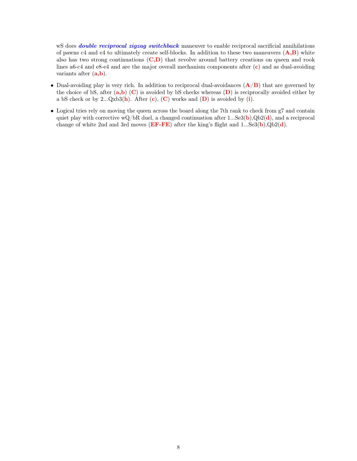wS does *double reciprocal zigzag switchback* maneuver to enable reciprocal sacrificial annihilations of pawns c4 and e4 to ultimately create self-blocks. In addition to these two maneuvers  $(A,B)$  white also has two strong continuations  $(C,D)$  that revolve around battery creations on queen and rook lines a6-c4 and e8-e4 and are the major overall mechanism components after (c) and as dual-avoiding variants after  $(a,b)$ .

- Dual-avoiding play is very rich. In addition to reciprocal dual-avoidances  $(\mathbf{A}/\mathbf{B})$  that are governed by the choice of bS, after  $(a,b)$  (C) is avoided by bS checks whereas  $(D)$  is reciprocally avoided either by a bS check or by  $2...Qxb3(h)$ . After  $(c)$ ,  $(C)$  works and  $(D)$  is avoided by (i).
- Logical tries rely on moving the queen across the board along the 7th rank to check from g7 and contain quiet play with corrective wQ/bR duel, a changed continuation after 1...Se3(b),Qb2(d), and a reciprocal change of white 2nd and 3rd moves  $(EF - FE)$  after the king's flight and 1...Se3(b),Qb2(d).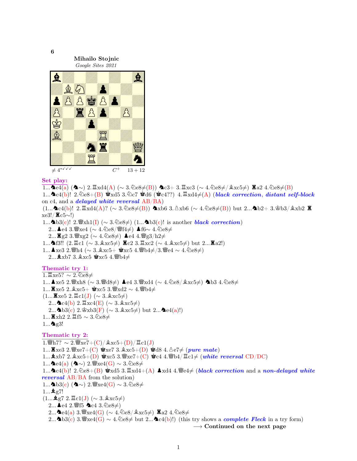

#### Set play:

1... $\mathbf{\Delta}$ e4(a) ( $\mathbf{\Delta} \sim$ ) 2.  $\mathbb{Z}$ xd4(A) (∼ 3.  $\mathbb{Q}$ e8≠(B))  $\mathbf{\Delta}$ c3+ 3.  $\mathbb{Z}$ xc3 (∼ 4.  $\mathbb{Q}$ e8≠/ $\mathbb{Q}$ xc5≠)  $\mathbb{Z}$ a2 4.  $\mathbb{Q}$ e8≠(B) 1... $\Delta c4(b)!$  2. $\Delta e8+(B)$  wid5 3. $\Delta c7$  wid6 (word?) 4. $\Delta x4\neq (A)$  (black correction, distant self-block on c4, and a **delayed white reversal**  $AB/BA$ )  $(1...$ **^c**4(b)! 2. $\mathbb{Z} \times \text{d}4(A)$ ? (∼ 3. $\text{@e8} \neq (B)$ ) **^**xb6 3. $\text{dx}$ b6 (∼ 4. $\text{@e8} \neq (B)$ ) but 2...^bb2+ 3.\s\$b3/ $\text{dx}$ b2  $\mathbb{Z}$  $xe3!/$   $\mathbb{E}c5∼!)$ 1...∧b3(c)! 2. $\mathscr{L}_{\mathbf{X}}[1]$  (∼ 3.  $\mathscr{L}_{\mathbf{e}}[2, \mathscr{L}_{\mathbf{e}}[3, 2.0]$  is another black correction) 2... ▲e4 3.  $x \neq 4$  (∼ 4.  $\text{Qe8}/\text{Wf4}\neq$ ) ▲f6∼ 4.  $\text{Qe8}\neq$ 2...  $\mathbb{Z}$ g2 3. $\mathbb{W}$ xg2 (∼ 4.  $\text{triangle}\neq$ ) **A**e4 4. $\mathbb{W}$ g3/h2≠ 1... Δf3!! (2. $\Xi$ c1 (∼ 3. $\&x$ c5≠)  $\Xi$ c2 3. $\Xi$ xc2 (∼ 4. $\&x$ c5≠) but 2... $\Xi$ a2!) 1...▲xe3 2. @h4 (∼ 3. &xc5+ \$xc5 4. @b4≠/3. @e4 ∼ 4. ©e8≠) 2...  $\Delta$ xb7 3. $\Delta$ xc5  $\Delta$ xc5 4.  $\Delta$ b4 $\neq$ Thematic try 1:  $1.\overline{\mathbb{Z}}$ xe5? ∼ 2. 2e8≠  $1...$ ▲xe5 2. $\mathscr{W}$ xh8 (∼ 3. $\mathscr{W}$ d8≠) ▲e4 3. $\mathscr{W}$ xd4 (∼ 4. $\mathscr{Q}$ e8/ $\mathscr{Q}$ xc5≠) ▲b3 4. $\mathscr{Q}$ e8≠  $1...$  $\mathbf{\Xi}_{\text{xe}}5$  2. $\&\text{xc5}+\mathbf{\Psi}_{\text{xc}}5$  3. $\mathbf{\Psi}_{\text{xd}}2 \sim 4$ . $\mathbf{\Psi}_{\text{b}}4\neq$  $(1...\n\mathbf{\Xi}_{\text{xe5}} 2.\mathbf{\Xi}_{\text{c1}}(J)~(\sim 3.\&\text{xc5}\neq)$ 2... $\blacktriangle$ c4(b) 2. $\mathbb{E}$ xc4(E) (∼ 3. $\mathbb{A}$ xc5≠) 2...^b3(c) 2.\gxb3(F) (∼ 3.\gxc5≠) but 2...^be4(a)!) 1...■xh2 2.罝f5 ~ 3.①e8≠  $1...$  ag3! Thematic try 2: 1.  $\mathcal{W}_h$ 7? ∼ 2. $\mathcal{W}_x$ xe7+(C)/ $\&x c 5+(D)/\mathcal{Z}_c 1(J)$ 1... $\mathbb{Z} \times 3$  2.  $\mathbb{Z} \times 7 + (C)$   $\mathbb{Z} \times 7$  3.  $\mathbb{Z} \times 5 + (D)$   $\mathbb{Z} \times 3$  4.  $\mathbb{A} \in 7 \neq (pure \; mate)$ 1... $\Delta x$ b7 2. $\Delta x$ c5+(D)  $x$ s $x$ 5 3. $\Delta x$ e7+(C)  $x$ c4 4. $\Delta x$ b4/ $\Delta x$ ( $\Delta t$ )  $\Delta t$  (white reversal CD/DC)  $1...$ ▲e4(a) (▲ $\sim$ ) 2. $\mathscr{C}$ xe4(G)  $\sim 3.\text{\textdegree$\triangle$}$ 1... $\Delta$ c4(b)! 2. $\&e8+(B)$   $\&x$ d5 3. $\&x$ d4+(A)  $\Delta$ xd4 4. $\&e4 \neq 0$  (black correction and a non-delayed white reversal AB/BA from the solution) 1...∧b3(c) (∧∼) 2. $\mathscr{C}$ xe4(G) ~ 3. $\mathscr{D}e8\neq$  $1...$   $g$ g7!  $(1...$ ହ $g7$  2. $\Xi$ c $1(J)$  (∼ 3. $\&xc5\neq$ ) 2... **▲**e4 2. *S*ff5 **�**ac4 3. 2e8≠) 2... $\triangleq$ e4(a) 3. $\angle$ xe4(G) (∼ 4. $\triangleq$ e8/ $\angle$ xc5≠)  $\angle$ a2 4. $\triangleq$ e8≠ 2...∧b3(c) 3. $\mathscr{L}_2$ xe4(G) ∼ 4.  $\mathscr{L}_2$ e8≠ but 2...∧c4(b)!) (this try shows a *complete Fleck* in a try form)  $\rightarrow$  Continued on the next page